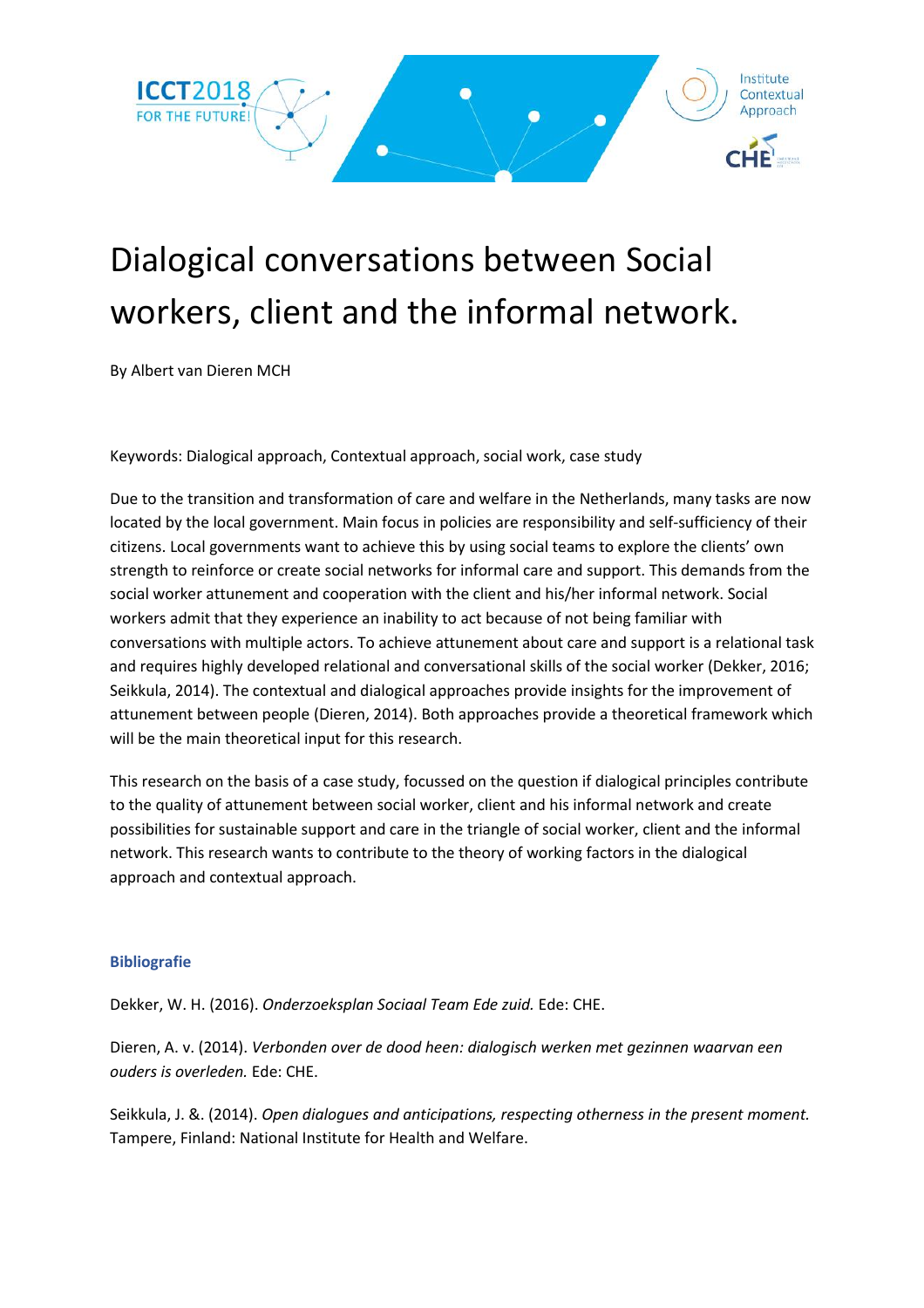

## Dialogical conversations between Social workers, client and the informal network.

By Albert van Dieren MCH

Keywords: Dialogical approach, Contextual approach, social work, case study

Due to the transition and transformation of care and welfare in the Netherlands, many tasks are now located by the local government. Main focus in policies are responsibility and self-sufficiency of their citizens. Local governments want to achieve this by using social teams to explore the clients' own strength to reinforce or create social networks for informal care and support. This demands from the social worker attunement and cooperation with the client and his/her informal network. Social workers admit that they experience an inability to act because of not being familiar with conversations with multiple actors. To achieve attunement about care and support is a relational task and requires highly developed relational and conversational skills of the social worker (Dekker, 2016; Seikkula, 2014). The contextual and dialogical approaches provide insights for the improvement of attunement between people (Dieren, 2014). Both approaches provide a theoretical framework which will be the main theoretical input for this research.

This research on the basis of a case study, focussed on the question if dialogical principles contribute to the quality of attunement between social worker, client and his informal network and create possibilities for sustainable support and care in the triangle of social worker, client and the informal network. This research wants to contribute to the theory of working factors in the dialogical approach and contextual approach.

## **Bibliografie**

Dekker, W. H. (2016). *Onderzoeksplan Sociaal Team Ede zuid.* Ede: CHE.

Dieren, A. v. (2014). *Verbonden over de dood heen: dialogisch werken met gezinnen waarvan een ouders is overleden.* Ede: CHE.

Seikkula, J. &. (2014). *Open dialogues and anticipations, respecting otherness in the present moment.* Tampere, Finland: National Institute for Health and Welfare.